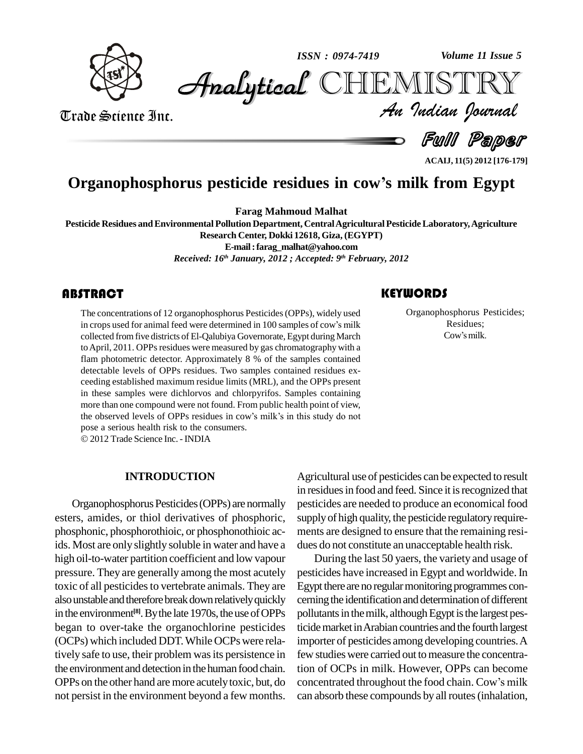

*Volume 11 Issue 5*



Trade Science Inc. Trade Science Inc.

*Volume 11 Issue 5*<br>IISTRY<br>Indian Iournal

Full Paper

## **Organophosphorus pesticide residues in cowí<sup>s</sup> milk from Egypt**

**Farag Mahmoud Malhat**

**Pesticide Residues andEnvironmental Pollution Department, CentralAgriculturalPesticideLaboratory,Agriculture Research Center, Dokki 12618, Giza, (EGYPT) E-mail:[farag\\_malhat@yahoo.com](mailto:farag_malhat@yahoo.com)** *Received: 16 th January, 2012 ; Accepted: 9 th February, 2012*

The concentrations of 12 organophosphorus Pesticides (OPPs), widely used<br>in crops used for animal feed were determined in 100 samples of cow's milk<br>collected from five districts of El-Qalubiya Governorate, Egypt during Mar The concentrations of 12 organophosphorus Pesticides(OPPs), widely used collected fromfive districts of El-Qalubiya Governorate, Egypt during March to April, 2011. OPPs residues were measured by gas chromatography with a flam photometric detector. Approximately 8 % of the samples contained detectable levels of OPPs residues. Two samples contained residues ex ceeding established maximum residue limits (MRL), and the OPPs present in these samples were dichlorvos and chlorpyrifos. Samples containing<br>more than one compound were not found. From public health point of view,<br>the observed levels of OPPs residues in cow's milk's in this study do not more than one compound were not found. From public health point of view, the observed levels of OPPs residues in cow's milk's in this study do not pose a serious health risk to the consumers.

2012 Trade Science Inc. -INDIA

### **INTRODUCTION**

Organophosphorus Pesticides (OPPs) are normally esters, amides, or thiol derivatives of phosphoric, phosphonic, phosphorothioic, or phosphonothioic acids. Most are only slightly soluble in water and have a high oil-to-water partition coefficient and low vapour pressure. They are generally among the most acutely toxic of all pesticides to vertebrate animals. They are also unstable and therefore break down relatively quickly in the environment<sup>[8]</sup>. By the late 1970s, the use of OPPs pollu began to over-take the organochlorine pesticides (OCPs) which included DDT.While OCPswere relatively safe to use, their problem was its persistence in the environment and detection in the human food chain. OPPs on the other hand are more acutelytoxic, but, do not persist in the environment beyond a few months.

Agricultural use of pesticides can be expected to result in residues in food and feed. Since it is recognized that pesticides are needed to produce an economical food supply of high quality, the pesticide regulatory requirements are designed to ensure that the remaining resi dues do not constitute an unacceptable health risk.

During the last 50 yaers, the variety and usage of pesticides have increased in Egypt and worldwide.In Egypt there are no regular monitoring programmes concerning the identification and determination of different pollutants in the milk, although Egypt is the largest pesticide market in Arabian countries and the fourth largest importer of pesticides among developing countries.A few studies were carried out to measure the concentration of OCPs in milk. However, OPPs can become concentrated throughout the food chain. Cow's milk can absorb these compounds by allroutes(inhalation,

Organophosphorus P<br>Residues;<br>Cow's milk. Organophosphorus Pesticides; Cowísmilk. Residues;

**ACAIJ, 11(5) 2012 [176-179]**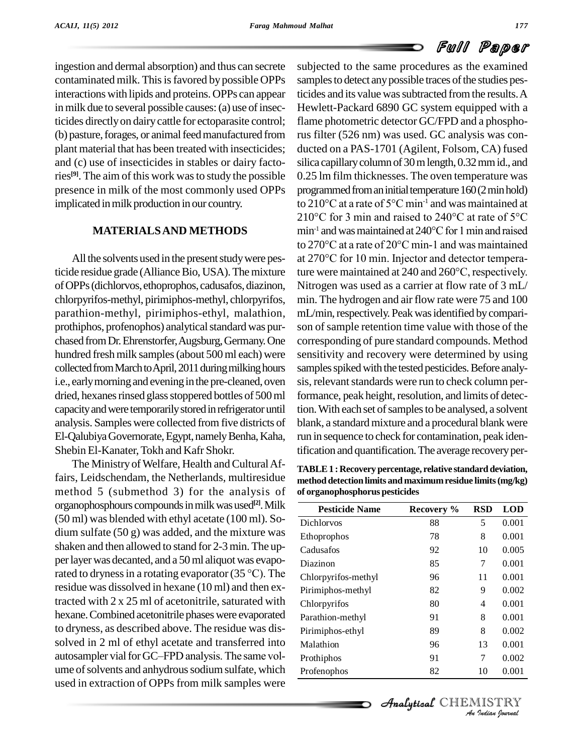## Full Paper

ingestion and dermal absorption) and thus can secrete contaminated milk. This is favored by possible OPPs interactions with lipids and proteins. OPPs can appear in milk due to several possible causes: (a) use of insecticides directlyon dairycattle for ectoparasite control; (b) pasture, forages, or animal feed manufactured from plant material that has been treated with insecticides; and (c) use of insecticides in stables or dairy factories<sup>[9]</sup>. The aim of this work was to study the possible 0.25 l presence in milk of the most commonly used OPPs implicated in milk production in our country.

## **MATERIALSAND METHODS**

All the solvents used in the present study were pesticide residue grade (Alliance Bio, USA). The mixture ture were maintained at  $240$  and  $260^{\circ}$ C, respectively. ofOPPs(dichlorvos,ethoprophos, cadusafos,diazinon, chlorpyrifos-methyl, pirimiphos-methyl, chlorpyrifos, parathion-methyl, pirimiphos-ethyl, malathion, prothiphos, profenophos) analytical standard was purchased from Dr. Ehrenstorfer, Augsburg, Germany. One hundred fresh milk samples (about 500 ml each) were collected from March to April, 2011 during milking hours i.e., early morning and evening in the pre-cleaned, oven dried, hexanes rinsed glass stoppered bottles of 500 ml capacity and were temporarily stored in refrigerator until analysis. Samples were collected from five districts of El-Qalubiya Governorate, Egypt, namely Benha, Kaha, Shebin El-Kanater, Tokh and Kafr Shokr.

The Ministry of Welfare, Health and Cultural Affairs, Leidschendam, the Netherlands, multiresidue method 5 (submethod 3) for the analysis of organophosphours compoundsinmilkwasused **[2]**.Milk (50 ml) was blended with ethyl acetate (100 ml). So dium sulfate (50 g) was added, and the mixture was shaken and then allowed to stand for 2-3 min. The upper layer was decanted, and a 50 ml aliquot was evaposhaken and then allowed to stand for 2-3 min. The up-<br>per layer was decanted, and a 50 ml aliquot was evapo-<br>rated to dryness in a rotating evaporator (35 °C). The residue was dissolved in hexane (10 ml) and then extracted with  $2 \times 25$  ml of acetonitrile, saturated with hexane. Combined acetonitrile phases were evaporated to dryness, as described above. The residue was dis solved in 2 ml of ethyl acetate and transferred into Malath to dryness, as described above. The residue was dis-<br>solved in 2 ml of ethyl acetate and transferred into<br>autosampler vial for GC–FPD analysis. The same volume of solvents and anhydrous sodium sulfate, which used in extraction of OPPs from milk samples were

subjected to the same procedures as the examined samples to detect any possible traces of the studies pesticides and its value was subtracted from the results. A Hewlett-Packard 6890 GC system equipped with a flame photometric detector GC/FPD and a phosphorus filter (526 nm) was used. GC analysis was con ducted on a PAS-1701 (Agilent, Folsom, CA) fused silica capillary column of 30 m length, 0.32 mm id., and 0.25 lm film thicknesses. The oven temperature was<br>programmed from an initial temperature  $160(2 \text{ min hold})$ <br>to  $210^{\circ}\text{C}$  at a rate of  $5^{\circ}\text{C min}^{-1}$  and was maintained at programmed from an initial temperature 160(2 min hold)<br>to 210°C at a rate of 5°C min<sup>-1</sup> and was maintained at<br>210°C for 3 min and raised to 240°C at rate of 5°C to 210 °C at a rate of  $5^{\circ}$ C min<sup>-1</sup> and was maintained at to 210°C at a rate of 5°C min<sup>-1</sup> and was maintained at 210°C for 3 min and raised to 240°C at rate of 5°C min<sup>-1</sup> and was maintained at 240°C for 1 min and raised 210°C for 3 min and raised to 240°C at rate of 5°C<br>min<sup>-1</sup> and was maintained at 240°C for 1 min and raised<br>to 270°C at a rate of 20°C min-1 and was maintained min<sup>-1</sup> and was maintained at 240°C for 1 min and raised<br>to 270°C at a rate of 20°C min-1 and was maintained<br>at 270°C for 10 min. Injector and detector temperato 270 °C at a rate of 20 °C min-1 and was maintained<br>at 270 °C for 10 min. Injector and detector tempera-Nitrogen was used as a carrier at flow rate of 3 mL/ min. The hydrogen and air flow rate were 75 and 100 mL/min, respectively. Peak was identified by comparison of sample retention time value with those of the corresponding of pure standard compounds. Method sensitivity and recovery were determined by using samples spiked with the tested pesticides. Before analysis, relevant standards were run to check column performance, peak height, resolution, and limits of detection. With each set of samples to be analysed, a solvent blank, a standard mixture and a procedural blank were run in sequence to check for contamination, peak identification and quantification. The average recovery per-

**TABLE1 : Recovery percentage, relative standard deviation, method detectionlimits and maximumresidue limits(mg/kg) of organophosphorus pesticides**

| <b>Pesticide Name</b> | Recovery %           | RSD | <b>LOD</b> |  |
|-----------------------|----------------------|-----|------------|--|
| Dichlorvos            | 88                   | 5   | 0.001      |  |
| Ethoprophos           | 78                   | 8   | 0.001      |  |
| Cadusafos             | 92                   | 10  | 0.005      |  |
| Diazinon              | 85                   | 7   | 0.001      |  |
| Chlorpyrifos-methyl   | 96                   | 11  | 0.001      |  |
| Pirimiphos-methyl     | 82                   | 9   | 0.002      |  |
| Chlorpyrifos          | 80                   | 4   | 0.001      |  |
| Parathion-methyl      | 91                   | 8   | 0.001      |  |
| Pirimiphos-ethyl      | 89                   | 8   | 0.002      |  |
| Malathion             | 96                   | 13  | 0.001      |  |
| Prothiphos            | 91                   | 7   | 0.002      |  |
| Profenophos           | 82                   | 10  | 0.001      |  |
|                       |                      |     |            |  |
|                       | Analytical CHEMISTRY |     |            |  |
| An Indian Nournal     |                      |     |            |  |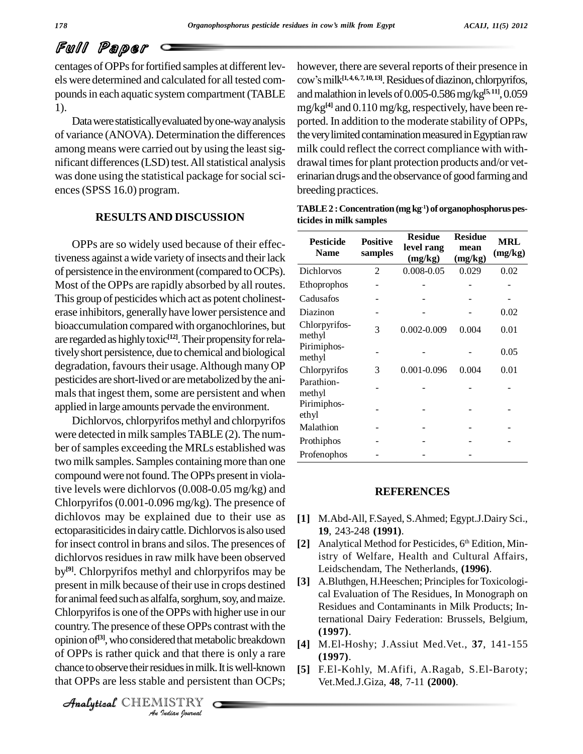# Full Paper

centages of OPPs for fortified samples at different levels were determined and calculated for all tested com pounds in each aquatic system compartment (TABLE 1).

Data were statistically evaluated by one-way analysis of variance (ANOVA). Determination the differences among means were carried out by using the least significant differences (LSD) test. All statistical analysis was done using the statistical package for social sciences(SPSS 16.0) program.

## **RESULTSAND DISCUSSION**

OPPs are so widely used because of their effectiveness against a wide variety of insects and their lack of persistence in the environment (compared to OCPs). Most of the OPPs are rapidly absorbed by all routes. This group of pesticides which act as potent cholinest erase inhibitors, generallyhave lower persistence and bioaccumulation compared with organochlorines, but are regarded as highly toxic<sup>[12]</sup>. Their propensity for relativelyshort persistence, due to chemical and biological degradation, favours their usage. Although many OP pesticides are short-lived or aremetabolized bythe ani mals that ingest them, some are persistent and when applied in large amounts pervade the environment.

 $\frac{1}{\text{41}}$ <br>opinion of<sup>[3]</sup>, who considered that metabolic breakdown  $\frac{1}{\text{41}}$ *Indian*<br> *Indian*<br> *ISTRY*<br> *ISTRY*<br> *ISTRY* Dichlorvos, chlorpyrifos methyl and chlorpyrifos were detected in milk samples TABLE(2). The number of samples exceeding the MRLs established was two milk samples. Samples containing more than one compound were not found. The OPPs present in violative levels were dichlorvos (0.008-0.05 mg/kg) and Chlorpyrifos(0.001-0.096 mg/kg). The presence of dichlovos may be explained due to their use as ectoparasiticides in dairy cattle. Dichlorvos is also used for insect control in brans and silos. The presences of dichlorvos residues in raw milk have been observed by<sup>[9]</sup>. Chlorpyrifos methyl and chlorpyrifos may be present in milk because of their use in crops destined for animal feed such as alfalfa, sorghum, soy, and maize. Chlorpyrifos is one of the OPPs with higher use in our country. The presence of these OPPs contrast with the of OPPs is rather quick and that there is only a rare chance to observe their residues in milk. It is well-known that OPPs are less stable and persistent than OCPs;

however, there are several reports of their presence in however, there are several reports of their presence in<br>cow's milk<sup>[1,4,6,7,10,13]</sup>. Residues of diazinon, chlorpyrifos, and malathion in levels of 0.005-0.586 mg/kg<sup>[5,11]</sup>, 0.059 mg/kg<sup>[4]</sup> and 0.110 mg/kg, respectively, have been reported. In addition to the moderate stability of OPPs, the very limited contamination measured in Egyptian raw milk could reflect the correct compliance with with drawal times for plant protection products and/or veterinarian drugs and the observance of good farming and breeding practices.

| TABLE $2:$ Concentration (mg kg <sup>-1</sup> ) of organophosphorus pes- |  |
|--------------------------------------------------------------------------|--|
| ticides in milk samples                                                  |  |

| <b>Pesticide</b><br><b>Name</b> | <b>Positive</b><br>samples | <b>Residue</b><br>level rang<br>(mg/kg) | <b>Residue</b><br>mean<br>(mg/kg) | <b>MRL</b><br>(mg/kg) |
|---------------------------------|----------------------------|-----------------------------------------|-----------------------------------|-----------------------|
| Dichlorvos                      | 2                          | 0.008-0.05                              | 0.029                             | 0.02                  |
| <b>Ethoprophos</b>              |                            |                                         |                                   |                       |
| Cadusafos                       |                            |                                         |                                   |                       |
| Diazinon                        |                            |                                         |                                   | 0.02                  |
| Chlorpyrifos-<br>methyl         | 3                          | $0.002 - 0.009$                         | 0.004                             | 0.01                  |
| Pirimiphos-<br>methyl           |                            |                                         |                                   | 0.05                  |
| Chlorpyrifos                    | 3                          | 0.001-0.096                             | 0.004                             | 0.01                  |
| Parathion-<br>methyl            |                            |                                         |                                   |                       |
| Pirimiphos-<br>ethyl            |                            |                                         |                                   |                       |
| Malathion                       |                            |                                         |                                   |                       |
| Prothiphos                      |                            |                                         |                                   |                       |
| Profenophos                     |                            |                                         |                                   |                       |

### **REFERENCES**

- **[1]** M.Abd-All, F.Sayed, S.Ahmed; Egypt.J.Dairy Sci., **19**, 243-248 **(1991)**.
- [2] Analytical Method for Pesticides, 6<sup>th</sup> Edition, Ministry of Welfare, Health and Cultural Affairs, Leidschendam, The Netherlands, **(1996)**.
- [3] A.Bluthgen, H.Heeschen; Principles for Toxicological Evaluation of The Residues, In Monograph on Residues and Contaminants in Milk Products; International Dairy Federation: Brussels, Belgium, **(1997)**.
- **[4]** M.El-Hoshy; J.Assiut Med.Vet., **37**, 141-155 **(1997)**.
- **[5]** F.El-Kohly, M.Afifi, A.Ragab, S.El-Baroty; Vet.Med.J.Giza, **48**, 7-11 **(2000)**.

CHEMISTRY